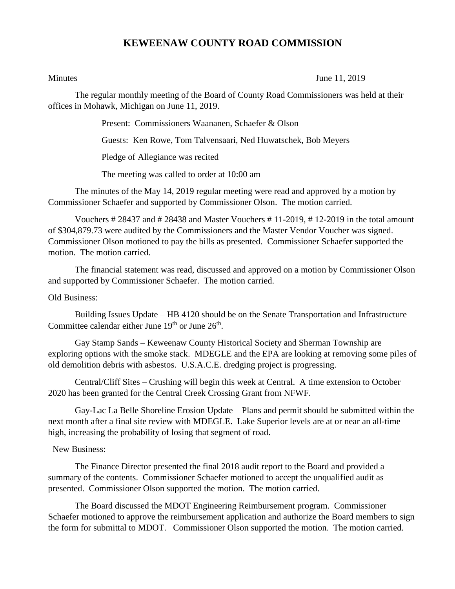## **KEWEENAW COUNTY ROAD COMMISSION**

Minutes June 11, 2019

The regular monthly meeting of the Board of County Road Commissioners was held at their offices in Mohawk, Michigan on June 11, 2019.

Present: Commissioners Waananen, Schaefer & Olson

Guests: Ken Rowe, Tom Talvensaari, Ned Huwatschek, Bob Meyers

Pledge of Allegiance was recited

The meeting was called to order at 10:00 am

The minutes of the May 14, 2019 regular meeting were read and approved by a motion by Commissioner Schaefer and supported by Commissioner Olson. The motion carried.

Vouchers # 28437 and # 28438 and Master Vouchers # 11-2019, # 12-2019 in the total amount of \$304,879.73 were audited by the Commissioners and the Master Vendor Voucher was signed. Commissioner Olson motioned to pay the bills as presented. Commissioner Schaefer supported the motion. The motion carried.

The financial statement was read, discussed and approved on a motion by Commissioner Olson and supported by Commissioner Schaefer. The motion carried.

Old Business:

Building Issues Update – HB 4120 should be on the Senate Transportation and Infrastructure Committee calendar either June  $19<sup>th</sup>$  or June  $26<sup>th</sup>$ .

Gay Stamp Sands – Keweenaw County Historical Society and Sherman Township are exploring options with the smoke stack. MDEGLE and the EPA are looking at removing some piles of old demolition debris with asbestos. U.S.A.C.E. dredging project is progressing.

Central/Cliff Sites – Crushing will begin this week at Central. A time extension to October 2020 has been granted for the Central Creek Crossing Grant from NFWF.

Gay-Lac La Belle Shoreline Erosion Update – Plans and permit should be submitted within the next month after a final site review with MDEGLE. Lake Superior levels are at or near an all-time high, increasing the probability of losing that segment of road.

## New Business:

The Finance Director presented the final 2018 audit report to the Board and provided a summary of the contents. Commissioner Schaefer motioned to accept the unqualified audit as presented. Commissioner Olson supported the motion. The motion carried.

The Board discussed the MDOT Engineering Reimbursement program. Commissioner Schaefer motioned to approve the reimbursement application and authorize the Board members to sign the form for submittal to MDOT. Commissioner Olson supported the motion. The motion carried.